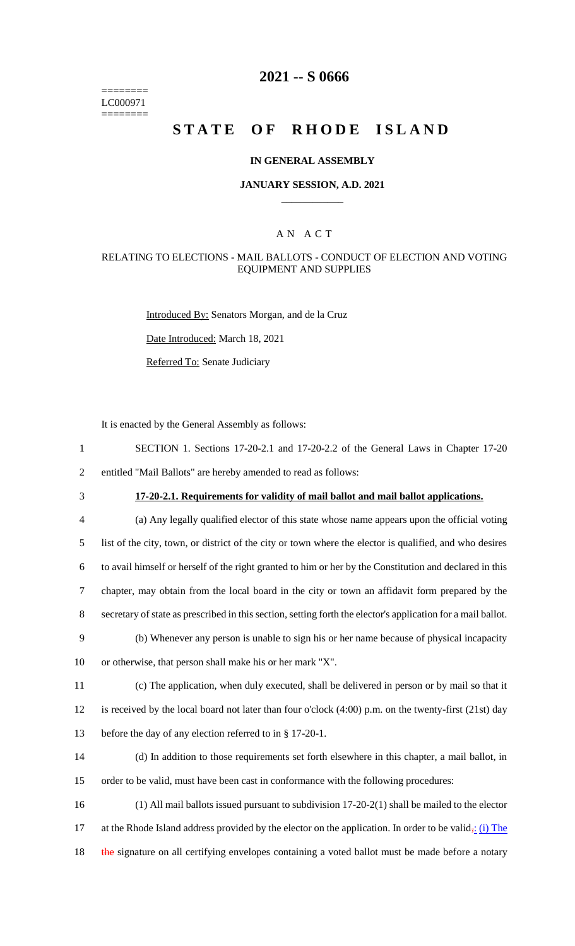======== LC000971 ========

# **2021 -- S 0666**

# **STATE OF RHODE ISLAND**

#### **IN GENERAL ASSEMBLY**

#### **JANUARY SESSION, A.D. 2021 \_\_\_\_\_\_\_\_\_\_\_\_**

### A N A C T

#### RELATING TO ELECTIONS - MAIL BALLOTS - CONDUCT OF ELECTION AND VOTING EQUIPMENT AND SUPPLIES

Introduced By: Senators Morgan, and de la Cruz

Date Introduced: March 18, 2021

Referred To: Senate Judiciary

It is enacted by the General Assembly as follows:

1 SECTION 1. Sections 17-20-2.1 and 17-20-2.2 of the General Laws in Chapter 17-20 2 entitled "Mail Ballots" are hereby amended to read as follows:

3 **17-20-2.1. Requirements for validity of mail ballot and mail ballot applications.**

 (a) Any legally qualified elector of this state whose name appears upon the official voting list of the city, town, or district of the city or town where the elector is qualified, and who desires to avail himself or herself of the right granted to him or her by the Constitution and declared in this chapter, may obtain from the local board in the city or town an affidavit form prepared by the secretary of state as prescribed in this section, setting forth the elector's application for a mail ballot. (b) Whenever any person is unable to sign his or her name because of physical incapacity or otherwise, that person shall make his or her mark "X". (c) The application, when duly executed, shall be delivered in person or by mail so that it is received by the local board not later than four o'clock (4:00) p.m. on the twenty-first (21st) day before the day of any election referred to in § 17-20-1. (d) In addition to those requirements set forth elsewhere in this chapter, a mail ballot, in

15 order to be valid, must have been cast in conformance with the following procedures:

16 (1) All mail ballots issued pursuant to subdivision 17-20-2(1) shall be mailed to the elector 17 at the Rhode Island address provided by the elector on the application. In order to be valid<sub> $\frac{1}{2}$ </sub> (i) The 18 the signature on all certifying envelopes containing a voted ballot must be made before a notary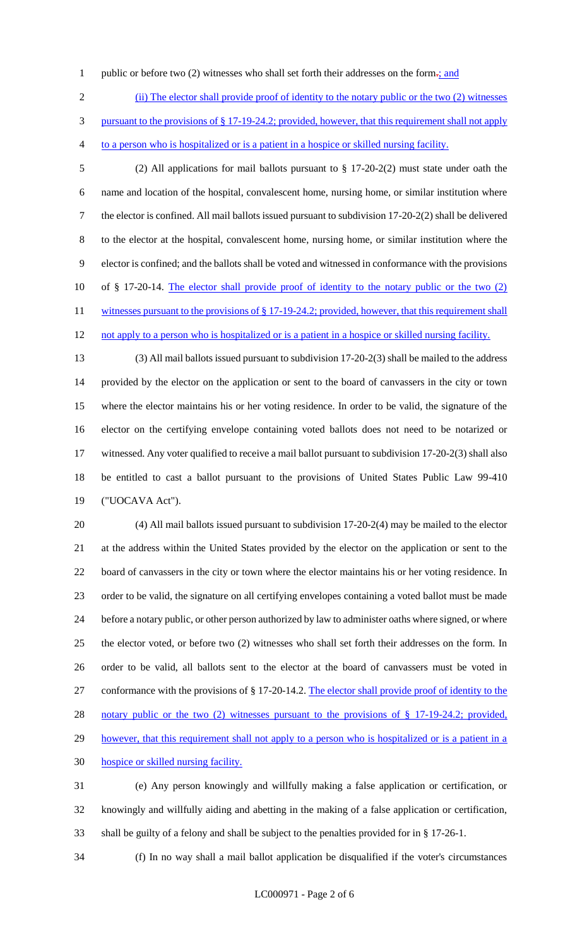1 public or before two (2) witnesses who shall set forth their addresses on the form- $\frac{1}{2}$  and

(ii) The elector shall provide proof of identity to the notary public or the two (2) witnesses

pursuant to the provisions of § 17-19-24.2; provided, however, that this requirement shall not apply

to a person who is hospitalized or is a patient in a hospice or skilled nursing facility.

 (2) All applications for mail ballots pursuant to § 17-20-2(2) must state under oath the name and location of the hospital, convalescent home, nursing home, or similar institution where the elector is confined. All mail ballots issued pursuant to subdivision 17-20-2(2) shall be delivered to the elector at the hospital, convalescent home, nursing home, or similar institution where the elector is confined; and the ballots shall be voted and witnessed in conformance with the provisions of § 17-20-14. The elector shall provide proof of identity to the notary public or the two (2) 11 witnesses pursuant to the provisions of § 17-19-24.2; provided, however, that this requirement shall 12 not apply to a person who is hospitalized or is a patient in a hospice or skilled nursing facility.

 (3) All mail ballots issued pursuant to subdivision 17-20-2(3) shall be mailed to the address provided by the elector on the application or sent to the board of canvassers in the city or town where the elector maintains his or her voting residence. In order to be valid, the signature of the elector on the certifying envelope containing voted ballots does not need to be notarized or witnessed. Any voter qualified to receive a mail ballot pursuant to subdivision 17-20-2(3) shall also be entitled to cast a ballot pursuant to the provisions of United States Public Law 99-410 ("UOCAVA Act").

 (4) All mail ballots issued pursuant to subdivision 17-20-2(4) may be mailed to the elector at the address within the United States provided by the elector on the application or sent to the board of canvassers in the city or town where the elector maintains his or her voting residence. In order to be valid, the signature on all certifying envelopes containing a voted ballot must be made before a notary public, or other person authorized by law to administer oaths where signed, or where the elector voted, or before two (2) witnesses who shall set forth their addresses on the form. In order to be valid, all ballots sent to the elector at the board of canvassers must be voted in conformance with the provisions of § 17-20-14.2. The elector shall provide proof of identity to the notary public or the two (2) witnesses pursuant to the provisions of § 17-19-24.2; provided, 29 however, that this requirement shall not apply to a person who is hospitalized or is a patient in a hospice or skilled nursing facility. (e) Any person knowingly and willfully making a false application or certification, or

 knowingly and willfully aiding and abetting in the making of a false application or certification, shall be guilty of a felony and shall be subject to the penalties provided for in § 17-26-1.

(f) In no way shall a mail ballot application be disqualified if the voter's circumstances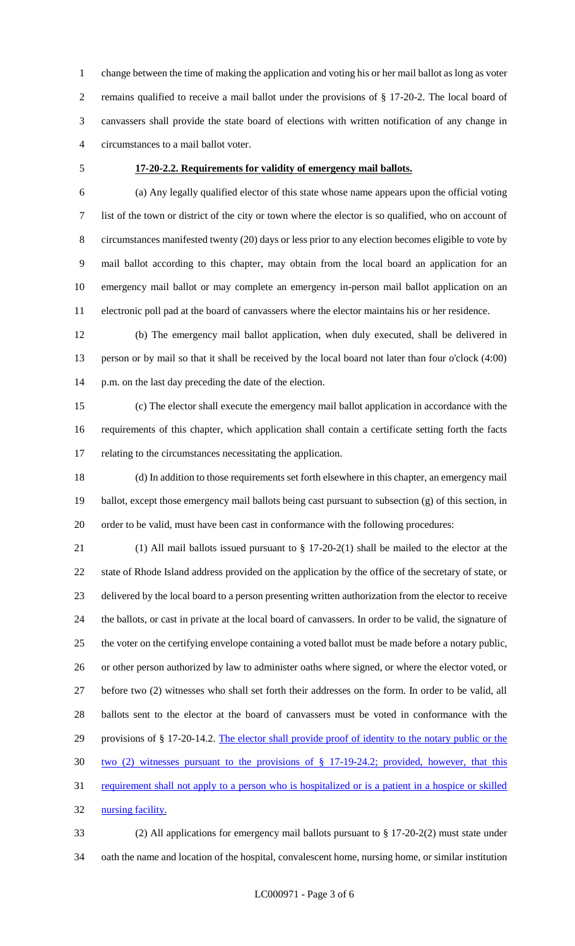change between the time of making the application and voting his or her mail ballot as long as voter remains qualified to receive a mail ballot under the provisions of § 17-20-2. The local board of canvassers shall provide the state board of elections with written notification of any change in circumstances to a mail ballot voter.

#### **17-20-2.2. Requirements for validity of emergency mail ballots.**

 (a) Any legally qualified elector of this state whose name appears upon the official voting list of the town or district of the city or town where the elector is so qualified, who on account of circumstances manifested twenty (20) days or less prior to any election becomes eligible to vote by mail ballot according to this chapter, may obtain from the local board an application for an emergency mail ballot or may complete an emergency in-person mail ballot application on an electronic poll pad at the board of canvassers where the elector maintains his or her residence.

 (b) The emergency mail ballot application, when duly executed, shall be delivered in person or by mail so that it shall be received by the local board not later than four o'clock (4:00) p.m. on the last day preceding the date of the election.

 (c) The elector shall execute the emergency mail ballot application in accordance with the requirements of this chapter, which application shall contain a certificate setting forth the facts relating to the circumstances necessitating the application.

 (d) In addition to those requirements set forth elsewhere in this chapter, an emergency mail ballot, except those emergency mail ballots being cast pursuant to subsection (g) of this section, in order to be valid, must have been cast in conformance with the following procedures:

 (1) All mail ballots issued pursuant to § 17-20-2(1) shall be mailed to the elector at the state of Rhode Island address provided on the application by the office of the secretary of state, or delivered by the local board to a person presenting written authorization from the elector to receive the ballots, or cast in private at the local board of canvassers. In order to be valid, the signature of the voter on the certifying envelope containing a voted ballot must be made before a notary public, or other person authorized by law to administer oaths where signed, or where the elector voted, or before two (2) witnesses who shall set forth their addresses on the form. In order to be valid, all ballots sent to the elector at the board of canvassers must be voted in conformance with the 29 provisions of § 17-20-14.2. The elector shall provide proof of identity to the notary public or the two (2) witnesses pursuant to the provisions of § 17-19-24.2; provided, however, that this 31 requirement shall not apply to a person who is hospitalized or is a patient in a hospice or skilled 32 nursing facility.

 (2) All applications for emergency mail ballots pursuant to § 17-20-2(2) must state under oath the name and location of the hospital, convalescent home, nursing home, or similar institution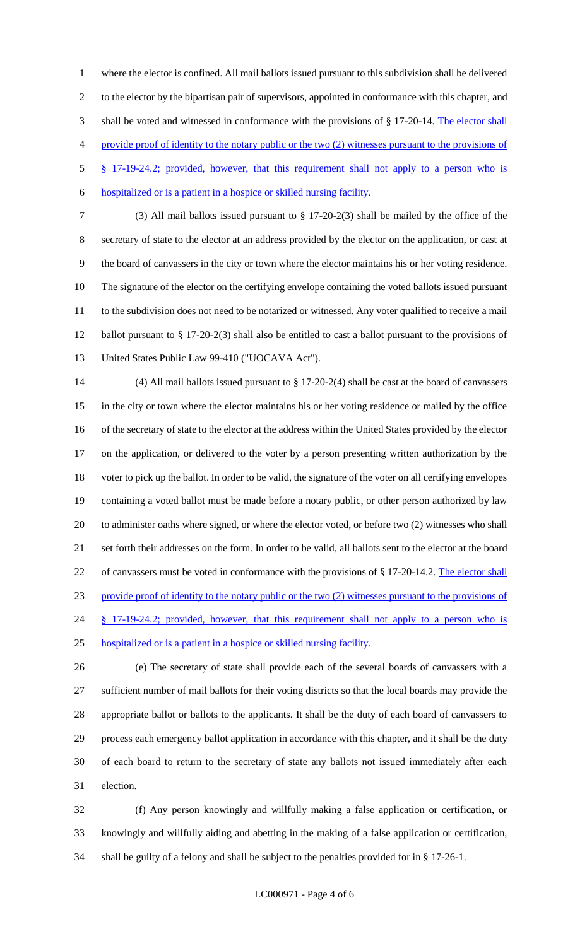where the elector is confined. All mail ballots issued pursuant to this subdivision shall be delivered to the elector by the bipartisan pair of supervisors, appointed in conformance with this chapter, and 3 shall be voted and witnessed in conformance with the provisions of § 17-20-14. The elector shall provide proof of identity to the notary public or the two (2) witnesses pursuant to the provisions of § 17-19-24.2; provided, however, that this requirement shall not apply to a person who is

- hospitalized or is a patient in a hospice or skilled nursing facility.
- (3) All mail ballots issued pursuant to § 17-20-2(3) shall be mailed by the office of the secretary of state to the elector at an address provided by the elector on the application, or cast at the board of canvassers in the city or town where the elector maintains his or her voting residence. The signature of the elector on the certifying envelope containing the voted ballots issued pursuant to the subdivision does not need to be notarized or witnessed. Any voter qualified to receive a mail ballot pursuant to § 17-20-2(3) shall also be entitled to cast a ballot pursuant to the provisions of United States Public Law 99-410 ("UOCAVA Act").

 (4) All mail ballots issued pursuant to § 17-20-2(4) shall be cast at the board of canvassers in the city or town where the elector maintains his or her voting residence or mailed by the office of the secretary of state to the elector at the address within the United States provided by the elector on the application, or delivered to the voter by a person presenting written authorization by the voter to pick up the ballot. In order to be valid, the signature of the voter on all certifying envelopes containing a voted ballot must be made before a notary public, or other person authorized by law to administer oaths where signed, or where the elector voted, or before two (2) witnesses who shall set forth their addresses on the form. In order to be valid, all ballots sent to the elector at the board 22 of canvassers must be voted in conformance with the provisions of § 17-20-14.2. The elector shall provide proof of identity to the notary public or the two (2) witnesses pursuant to the provisions of 24 § 17-19-24.2; provided, however, that this requirement shall not apply to a person who is hospitalized or is a patient in a hospice or skilled nursing facility.

 (e) The secretary of state shall provide each of the several boards of canvassers with a sufficient number of mail ballots for their voting districts so that the local boards may provide the appropriate ballot or ballots to the applicants. It shall be the duty of each board of canvassers to process each emergency ballot application in accordance with this chapter, and it shall be the duty of each board to return to the secretary of state any ballots not issued immediately after each election.

 (f) Any person knowingly and willfully making a false application or certification, or knowingly and willfully aiding and abetting in the making of a false application or certification, shall be guilty of a felony and shall be subject to the penalties provided for in § 17-26-1.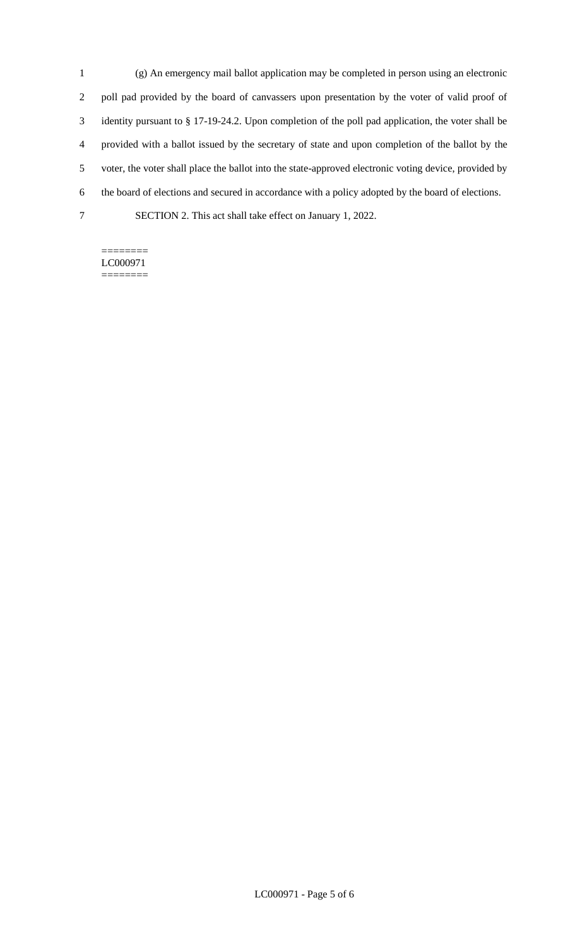(g) An emergency mail ballot application may be completed in person using an electronic poll pad provided by the board of canvassers upon presentation by the voter of valid proof of identity pursuant to § 17-19-24.2. Upon completion of the poll pad application, the voter shall be provided with a ballot issued by the secretary of state and upon completion of the ballot by the voter, the voter shall place the ballot into the state-approved electronic voting device, provided by the board of elections and secured in accordance with a policy adopted by the board of elections. SECTION 2. This act shall take effect on January 1, 2022.

======== LC000971 ========